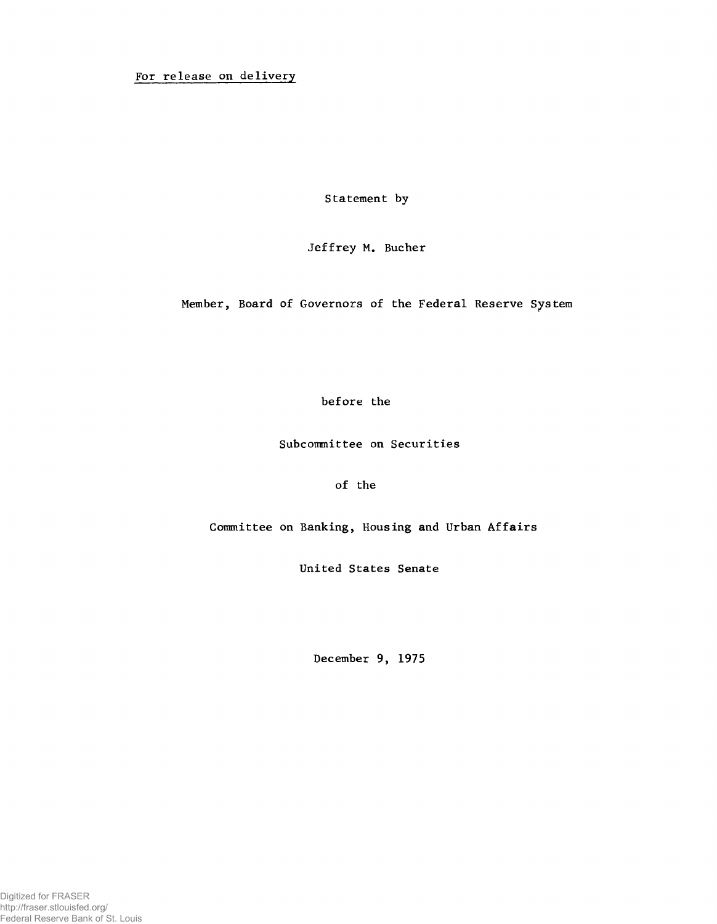For release on delivery

Statement by

Jeffrey M. Bucher

Member, Board of Governors of the Federal Reserve System

before the

Subcommittee on Securities

of the

Committee on Banking, Housing and Urban Affairs

United States Senate

**December 9, 1975**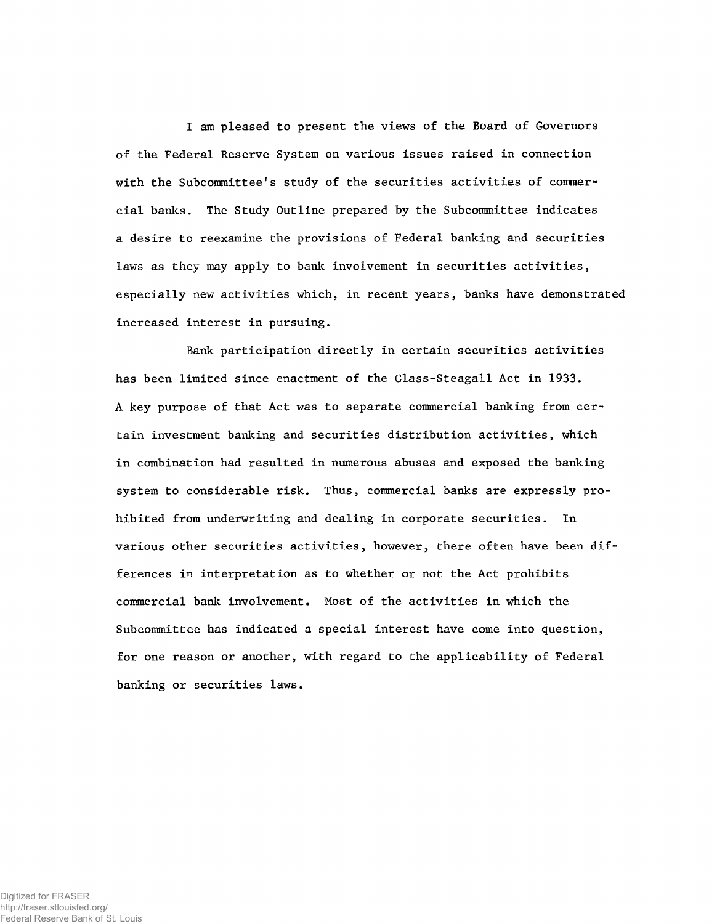I am pleased to present the views of the Board of Governors o£ the Federal Reserve System on various issues raised in connection with the Subcommittee's study of the securities activities of commercial banks. The Study Outline prepared by the Subcommittee indicates a desire to reexamine the provisions of Federal banking and securities laws as they may apply to bank involvement in securities activities, especially new activities which, in recent years, banks have demonstrated increased interest in pursuing.

Bank participation directly in certain securities activities has been limited since enactment of the Glass-Steagall Act in 1933. A key purpose of that Act was to separate commercial banking from certain investment banking and securities distribution activities, which in combination had resulted in numerous abuses and exposed the banking system to considerable risk. Thus, commercial banks are expressly prohibited from underwriting and dealing in corporate securities. In various other securities activities, however, there often have been differences in interpretation as to whether or not the Act prohibits commercial bank involvement. Most of the activities in which the Subcommittee has indicated a special interest have come into question, for one reason or another, with regard to the applicability of Federal banking or securities laws.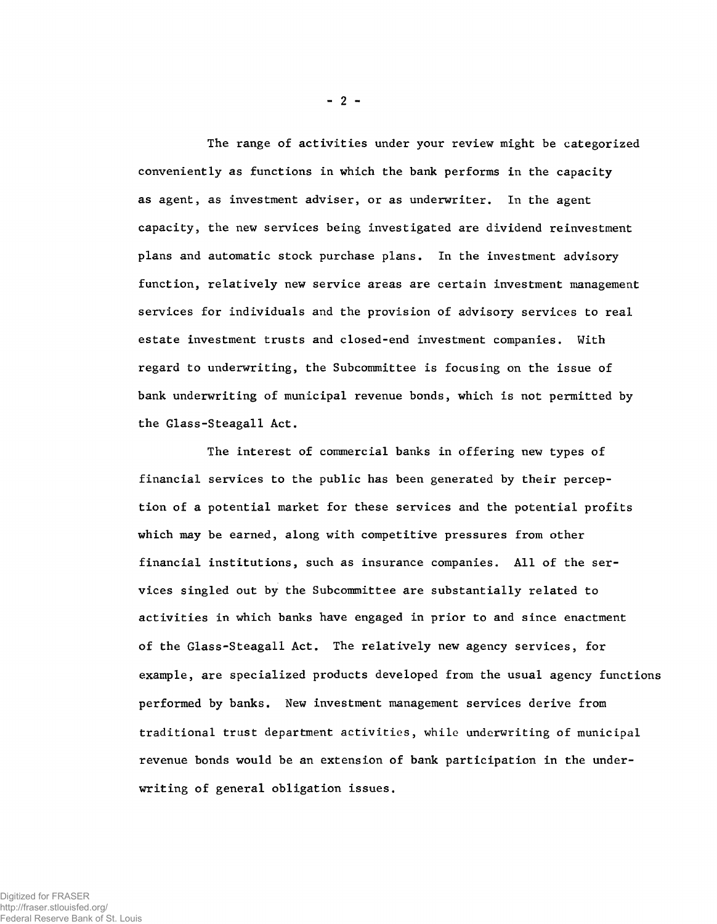The range of activities under your review might be categorized conveniently as functions in which the bank performs in the capacity as agent, as investment adviser, or as underwriter. In the agent capacity, the new services being investigated are dividend reinvestment plans and automatic stock purchase plans. In the investment advisory function, relatively new service areas are certain investment management services for individuals and the provision of advisory services to real estate investment trusts and closed-end investment companies. With regard to underwriting, the Subcommittee is focusing on the issue of bank underwriting of municipal revenue bonds, which is not permitted by the Glass-Steagall Act.

The interest of commercial banks in offering new types of financial services to the public has been generated by their perception of a potential market for these services and the potential profits which may be earned, along with competitive pressures from other financial institutions, such as insurance companies. All of the services singled out by the Subcommittee are substantially related to activities in which banks have engaged in prior to and since enactment of the Glass-Steagall Act. The relatively new agency services, for example, are specialized products developed from the usual agency functions performed by banks. New investment management services derive from traditional trust department activities, while underwriting of municipal revenue bonds would be an extension of bank participation in the underwriting of general obligation issues.

 $- 2 -$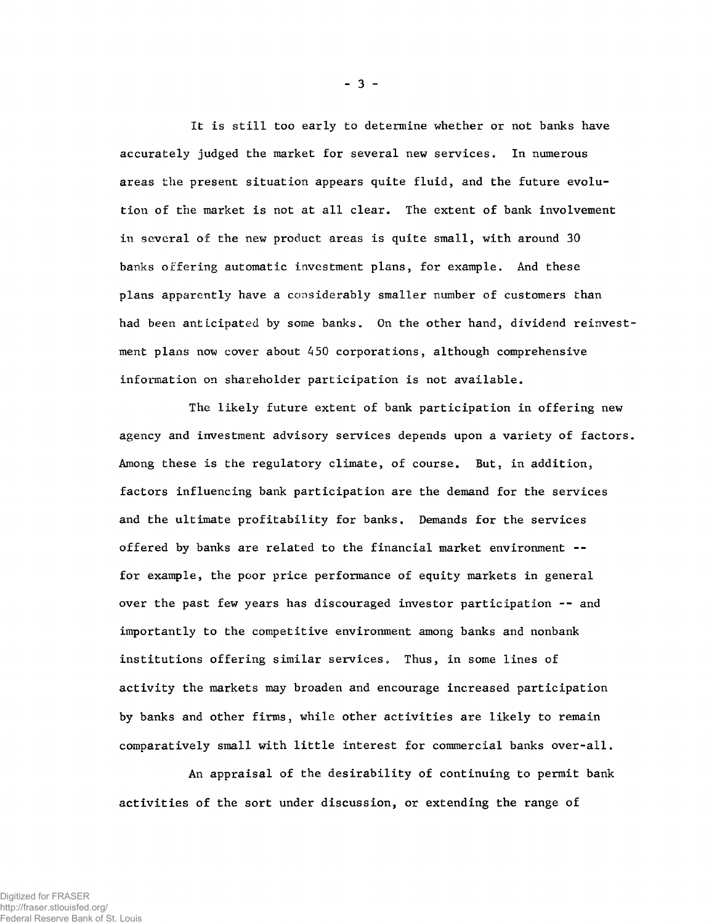It is still too early to determine whether or not banks have accurately judged the market for several new services. In numerous areas the present situation appears quite fluid, and the future evolution of the market is not at all clear. The extent of bank involvement in several of the new product areas is quite small, with around 30 banks offering automatic investment plans, for example. And these plans apparently have a considerably smaller number of customers than had been anticipated by some banks. On the other hand, dividend reinvestment plans now cover about 450 corporations, although comprehensive information on shareholder participation is not available.

The likely future extent of bank participation in offering new agency and investment advisory services depends upon a variety of factors. Among these is the regulatory climate, of course. But, in addition, factors influencing bank participation are the demand for the services and the ultimate profitability for banks. Demands for the services offered by banks are related to the financial market environment - for example, the poor price performance of equity markets in general over the past few years has discouraged investor participation -- and importantly to the competitive environment among banks and nonbank institutions offering similar services. Thus, in some lines of activity the markets may broaden and encourage increased participation by banks and other firms, while other activities are likely to remain comparatively small with little interest for commercial banks over-all.

An appraisal of the desirability of continuing to permit bank activities of the sort under discussion, or extending the range of

- 3 -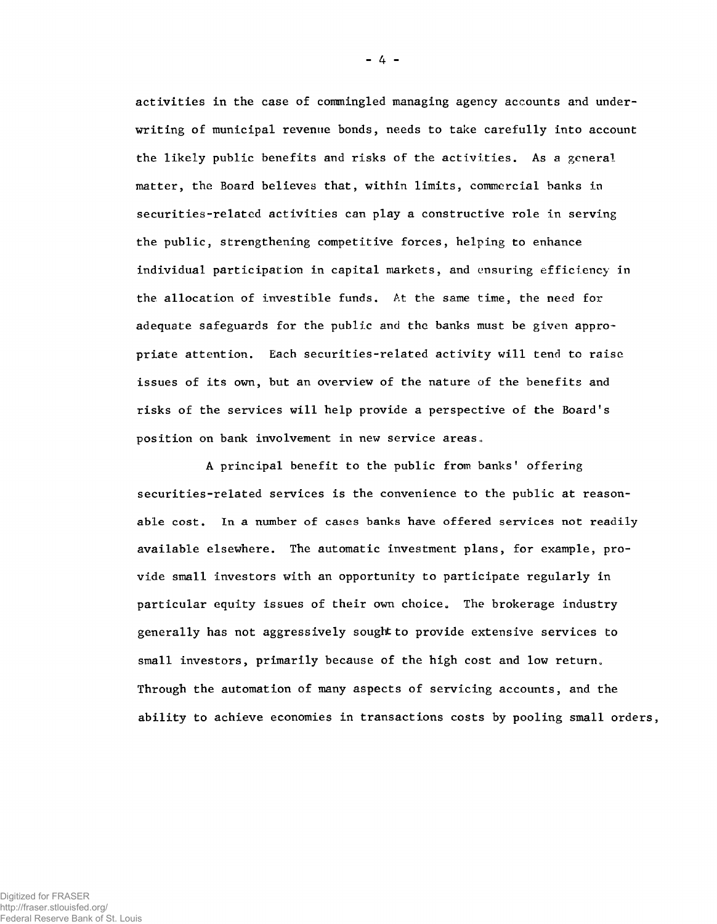activities in the case of commingled managing agency accounts and underwriting of municipal revenue bonds, needs to take carefully into account the likely public benefits and risks of the activities. As a general matter, the Board believes that, within limits, commercial banks in securities-related activities can play a constructive role in serving the public, strengthening competitive forces, helping to enhance individual participation in capital markets, and ensuring efficiency in the allocation of investible funds. At the same time, the need for adequate safeguards for the public and the banks must be given appropriate attention. Each securities-related activity will tend to raise, issues of its own, but an overview of the nature of the benefits and risks of the services will help provide a perspective of the Board's position on bank involvement in new service areas.

A principal benefit to the public from banks' offering securities-related services is the convenience to the public at reasonable cost. In a number of cases banks have offered services not readily available elsewhere. The automatic investment plans, for example, provide small investors with an opportunity to participate regularly in particular equity issues of their own choice. The brokerage industry generally has not aggressively sought to provide extensive services to small investors, primarily because of the high cost and low return. Through the automation of many aspects of servicing accounts, and the ability to achieve economies in transactions costs by pooling small orders,

- 4 -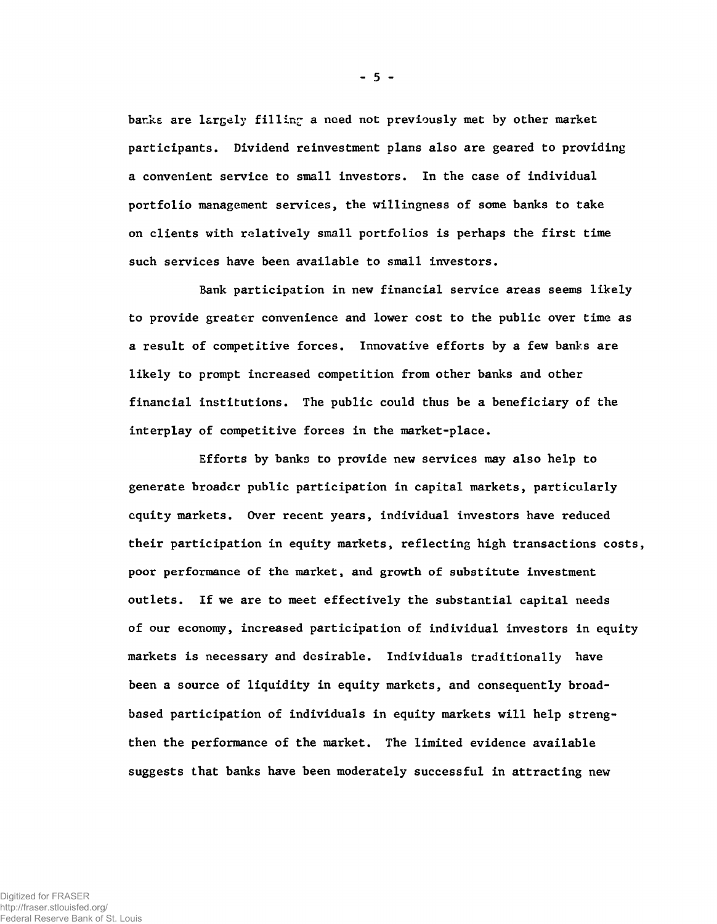banks are largely filling a need not previously met by other market participants. Dividend reinvestment plans also are geared to providing a convenient service to small investors. In the case of individual portfolio management services, the willingness of some banks to take on clients with relatively small portfolios is perhaps the first time such services have been available to small investors.

Bank participation in new financial service areas seems likely to provide greater convenience and lower cost to the public over time as a result of competitive forces. Innovative efforts by a few banks are likely to prompt increased competition from other banks and other financial institutions. The public could thus be a beneficiary of the interplay of competitive forces in the market-place.

Efforts by banks to provide new services may also help to generate broader public participation in capital markets, particularly equity markets. Over recent years, individual investors have reduced their participation in equity markets, reflecting high transactions costs, poor performance of the market, and growth of substitute investment outlets. If we are to meet effectively the substantial capital needs of our economy, increased participation of individual investors in equity markets is necessary and desirable. Individuals traditionally have been a source of liquidity in equity markets, and consequently broadbased participation of individuals in equity markets will help strengthen the performance of the market. The limited evidence available suggests that banks have been moderately successful in attracting new

**-** 5 **-**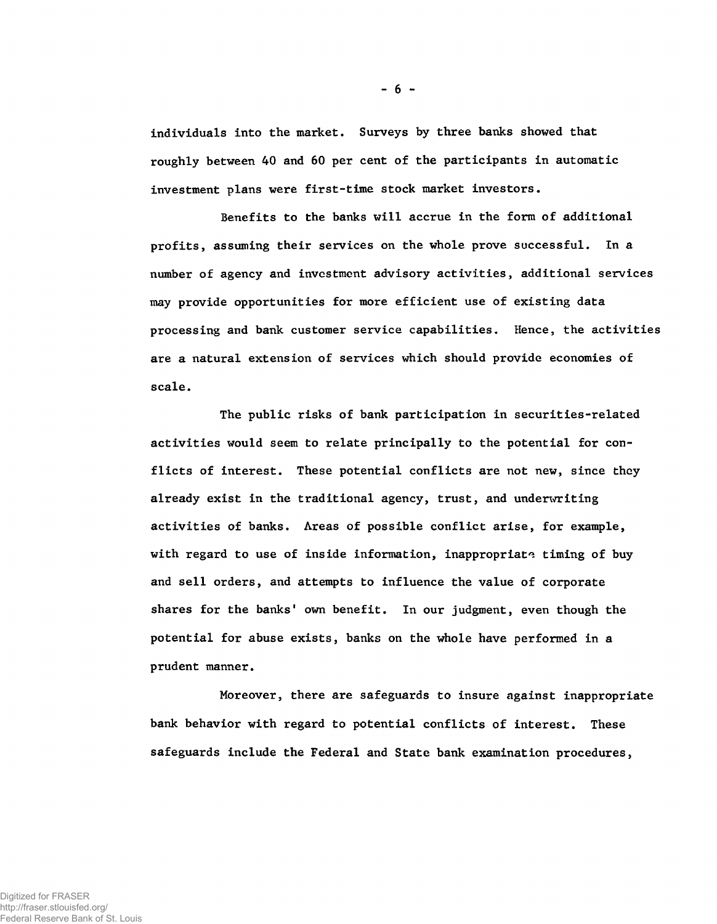individuals into the market. Surveys by three banks showed that roughly between 40 and 60 per cent of the participants in automatic investment plans were first-time stock market investors.

Benefits to the banks will accrue in the form of additional profits, assuming their services on the whole prove successful. In a number of agency and investment advisory activities, additional services may provide opportunities for more efficient use of existing data processing and bank customer service capabilities. Hence, the activities are a natural extension of services which should provide economies of scale.

The public risks of bank participation in securities-related activities would seem to relate principally to the potential for conflicts of interest. These potential conflicts are not new, since they already exist in the traditional agency, trust, and underwriting activities of banks. Areas of possible conflict arise, for example, with regard to use of inside information, inappropriate timing of buy and sell orders, and attempts to influence the value of corporate shares for the banks' own benefit. In our judgment, even though the potential for abuse exists, banks on the whole have performed in a prudent manner.

Moreover, there are safeguards to insure against inappropriate bank behavior with regard to potential conflicts of interest. These safeguards include the Federal and State bank examination procedures,

**-** 6 **-**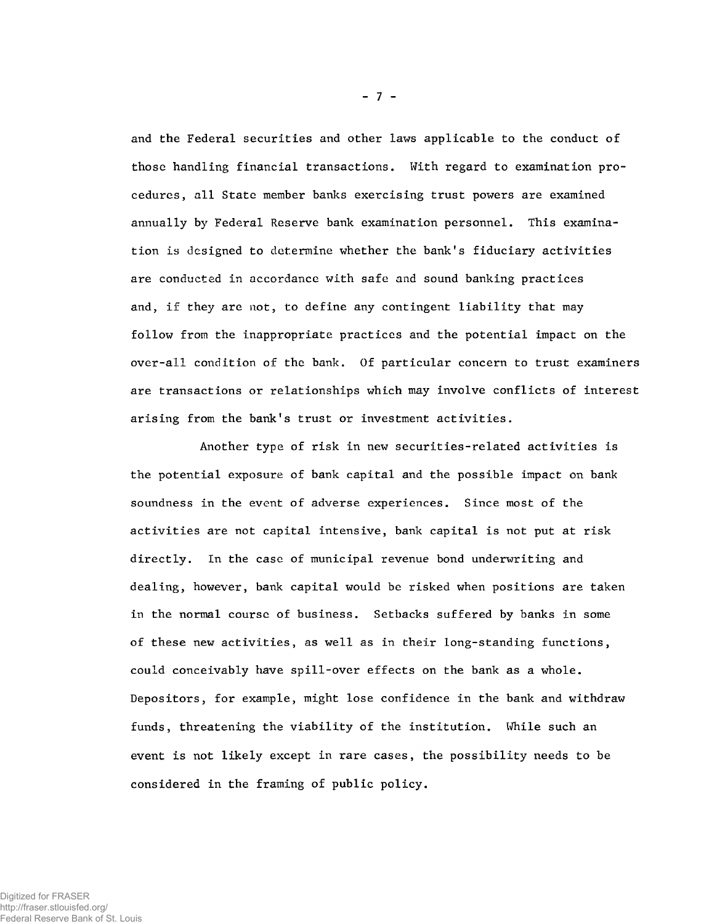and the Federal securities and other laws applicable to the conduct of those handling financial transactions. With regard to examination procedures, all State member banks exercising trust powers are examined annually by Federal Reserve bank examination personnel. This examination is designed to determine whether the bank's fiduciary activities are conducted in accordance with safe and sound banking practices and, if they are not, to define any contingent liability that may follow from the inappropriate practices and the potential impact on the over-all condition of the bank. Of particular concern to trust examiners are transactions or relationships which may involve conflicts of interest arising from the bank's trust or investment activities.

Another type of risk in new securities-related activities is the potential exposure of bank capital and the possible impact on bank soundness in the event of adverse experiences. Since most of the activities are not capital intensive, bank capital is not put at risk directly. In the case of municipal revenue bond underwriting and dealing, however, bank capital would be risked when positions are taken in the normal course of business. Setbacks suffered by banks in some of these new activities, as well as in their long-standing functions, could conceivably have spill-over effects on the bank as a whole. Depositors, for example, might lose confidence in the bank and withdraw funds, threatening the viability of the institution. While such an event is not likely except in rare cases, the possibility needs to be considered in the framing of public policy.

- 7 -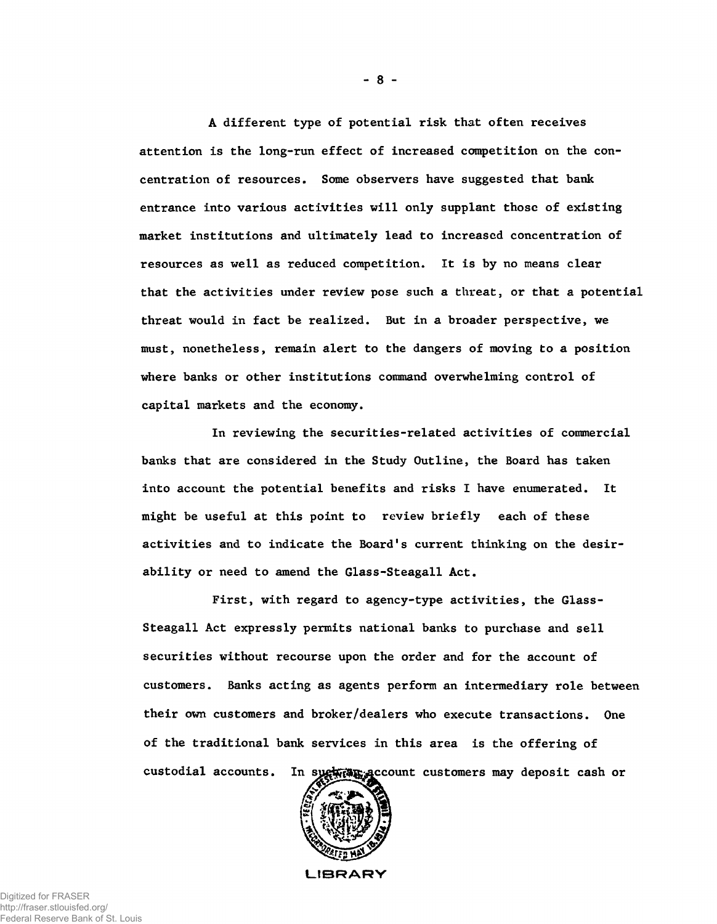A different type of potential risk that often receives attention is the long-run effect of increased competition on the concentration of resources. Some observers have suggested that bank entrance into various activities will only supplant those of existing market institutions and ultimately lead to increased concentration of resources as well as reduced competition. It is by no means clear that the activities under review pose such a threat, or that a potential threat would in fact be realized. But in a broader perspective, we must, nonetheless, remain alert to the dangers of moving to a position where banks or other institutions command overwhelming control of capital markets and the economy.

banks that are considered in the Study Outline, the Board has taken into account the potential benefits and risks I have enumerated. It might be useful at this point to review briefly each of these activities and to indicate the Board's current thinking on the desirability or need to amend the Glass-Steagall Act. In reviewing the securities-related activities of commercial

First, with regard to agency-type activities, the Glass-Steagall Act expressly permits national banks to purchase and sell securities without recourse upon the order and for the account of customers. Banks acting as agents perform an intermediary role between their own customers and broker/dealers who execute transactions. One of the traditional bank services in this area is the offering of custodial accounts. In sugh an account customers may deposit cash or



**LIBRARY**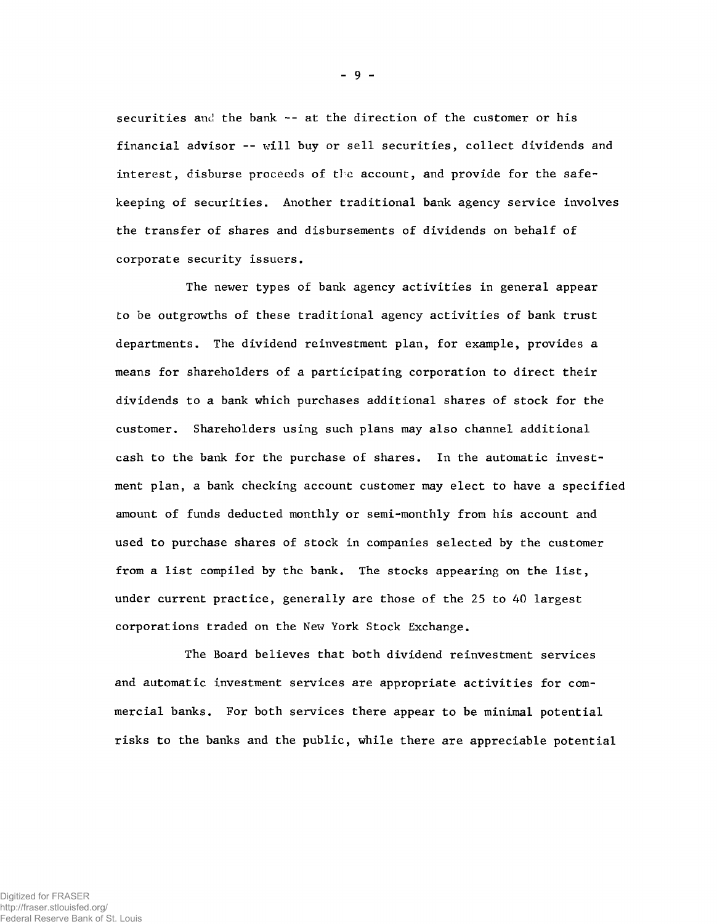securities and the bank -- at the direction of the customer or his financial advisor — will buy or sell securities, collect dividends and interest, disburse proceeds of tie account, and provide for the safekeeping of securities. Another traditional bank agency service involves the transfer of shares and disbursements of dividends on behalf of corporate security issuers.

The newer types of bank agency activities in general appear to be outgrowths of these traditional agency activities of bank trust departments. The dividend reinvestment plan, for example, provides a means for shareholders of a participating corporation to direct their dividends to a bank which purchases additional shares of stock for the customer. Shareholders using such plans may also channel additional cash to the bank for the purchase of shares. In the automatic investment plan, a bank checking account customer may elect to have a specified amount of funds deducted monthly or semi-monthly from his account and used to purchase shares of stock in companies selected by the customer from a list compiled by the bank. The stocks appearing on the list, under current practice, generally are those of the 25 to 40 largest corporations traded on the New York Stock Exchange.

The Board believes that both dividend reinvestment services and automatic investment services are appropriate activities for commercial banks. For both services there appear to be minimal potential risks to the banks and the public, while there are appreciable potential

**- 9 -**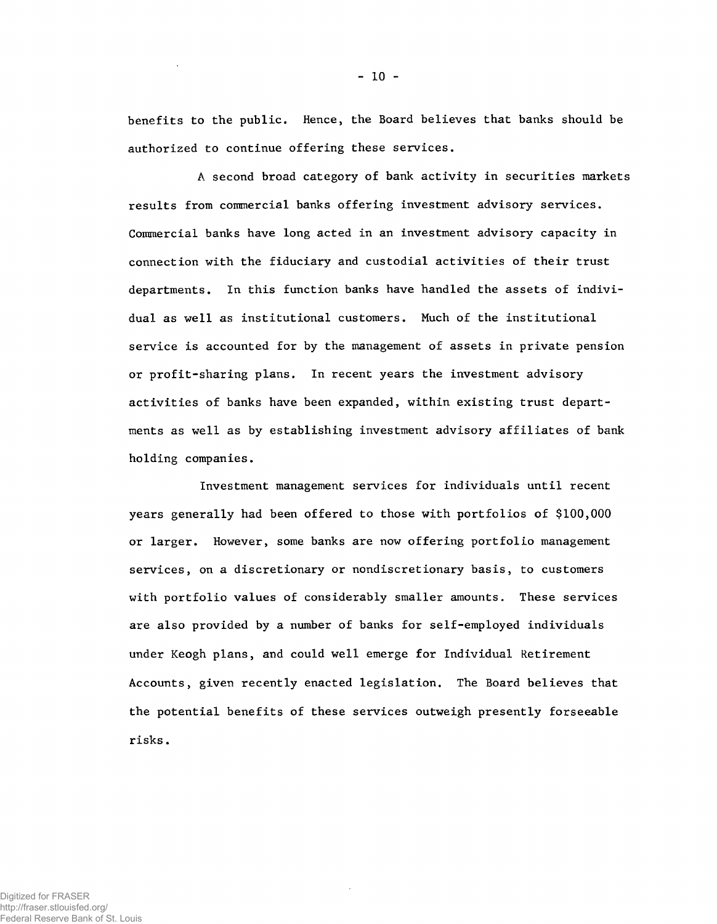benefits to the public. Hence, the Board believes that banks should be authorized to continue offering these services.

A second broad category of bank activity in securities markets results from commercial banks offering investment advisory services. Commercial banks have long acted in an investment advisory capacity in connection with the fiduciary and custodial activities of their trust departments. In this function banks have handled the assets of individual as well as institutional customers. Much of the institutional service is accounted for by the management of assets in private pension or profit-sharing plans. In recent years the investment advisory activities of banks have been expanded, within existing trust departments as well as by establishing investment advisory affiliates of bank holding companies.

Investment management services for individuals until recent years generally had been offered to those with portfolios of \$100,000 or larger. However, some banks are now offering portfolio management services, on a discretionary or nondiscretionary basis, to customers with portfolio values of considerably smaller amounts. These services are also provided by a number of banks for self-employed individuals under Keogh plans, and could well emerge for Individual Retirement Accounts, given recently enacted legislation. The Board believes that the potential benefits of these services outweigh presently forseeable risks.

Digitized for FRASER http://fraser.stlouisfed.org/ Federal Reserve Bank of St. Louis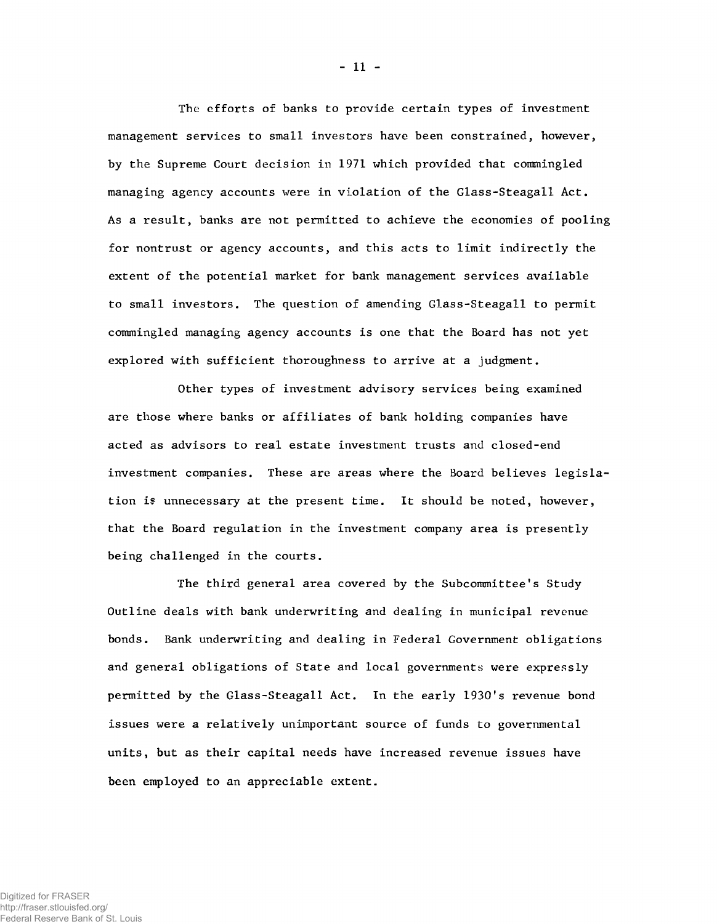The efforts of banks to provide certain types of investment management services to small investors have been constrained, however, by the Supreme Court decision in 1971 which provided that commingled managing agency accounts were in violation of the Glass-Steagall Act. As a result, banks are not permitted to achieve the economies of pooling for nontrust or agency accounts, and this acts to limit indirectly the extent of the potential market for bank management services available to small investors. The question of amending Glass-Steagall to permit commingled managing agency accounts is one that the Board has not yet explored with sufficient thoroughness to arrive at a judgment.

Other types of investment advisory services being examined are those where banks or affiliates of bank holding companies have acted as advisors to real estate investment trusts and closed-end investment companies. These are areas where the Board believes legislation is unnecessary at the present time. It should be noted, however, that the Board regulation in the investment company area is presently being challenged in the courts.

The third general area covered by the Subcommittee's Study Outline deals with bank underwriting and dealing in municipal revenue bonds. Bank underwriting and dealing in Federal Government obligations and general obligations of State and local governments were expressly permitted by the Glass-Steagall Act. In the early 1930's revenue bond issues were a relatively unimportant source of funds to governmental units, but as their capital needs have increased revenue issues have been employed to an appreciable extent.

- 11 -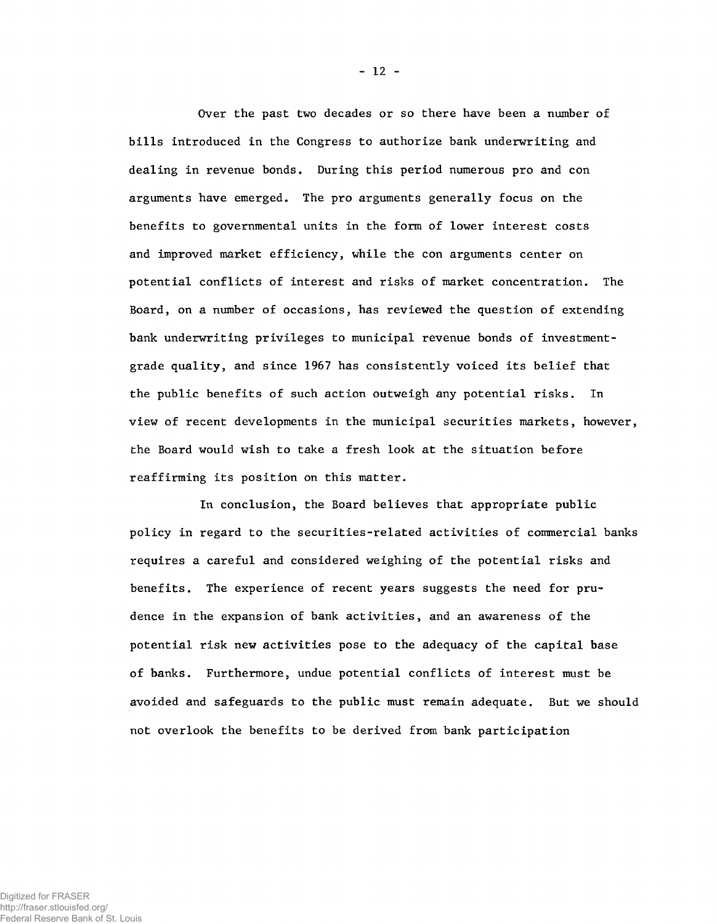Over the past two decades or so there have been a number of bills introduced in the Congress to authorize bank underwriting and dealing in revenue bonds. During this period numerous pro and con arguments have emerged. The pro arguments generally focus on the benefits to governmental units in the form of lower interest costs and improved market efficiency, while the con arguments center on potential conflicts of interest and risks of market concentration. The Board, on a number of occasions, has reviewed the question of extending bank underwriting privileges to municipal revenue bonds of investmentgrade quality, and since 1967 has consistently voiced its belief that the public benefits of such action outweigh any potential risks. In view of recent developments in the municipal securities markets, however, the Board would wish to take a fresh look at the situation before reaffirming its position on this matter.

**In conclusion, the Board believes that appropriate public policy in regard to the securities-related activities of commercial banks requires a careful and considered weighing of the potential risks and benefits. The experience of recent years suggests the need for prudence in the expansion of bank activities, and an awareness of the potential risk new activities pose to the adequacy of the capital base of banks. Furthermore, undue potential conflicts of interest must be avoided and safeguards to the public must remain adequate. But we should not overlook the benefits to be derived from bank participation**

- 12 -